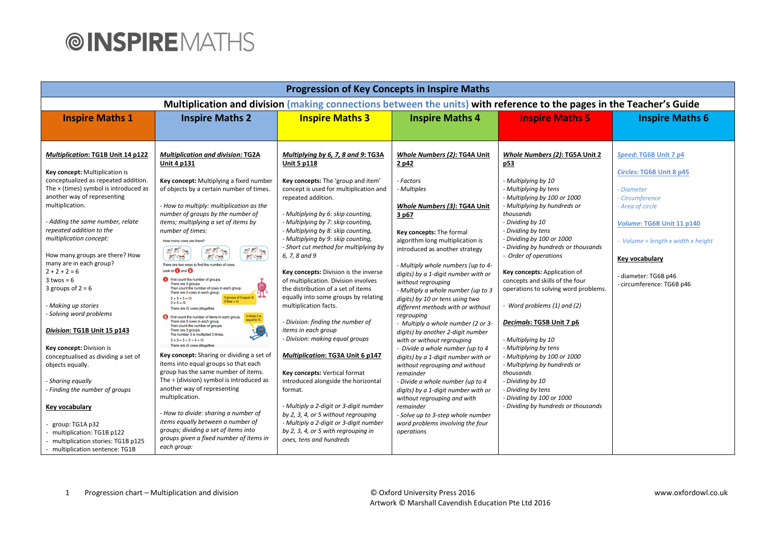| <b>Progression of Key Concepts in Inspire Maths</b>                                                                                                                                                                                                                                                                                                                                                                                                                                                                                                                                                                                                                                                                                                                                                  |                                                                                                                                                                                                                                                                                                                                                                                                                                                                                                                                                                                                                                                                                                                                                                                                                                                                                                                                                                                                                                                                                                                                                                                                                                                                                                                                                                                                                                                    |                                                                                                                                                                                                                                                                                                                                                                                                                                                                                                                                                                                                                                                                                                                                                                                                                                                                                                                                                                                                    |                                                                                                                                                                                                                                                                                                                                                                                                                                                                                                                                                                                                                                                                                                                                                                                                                                                                                              |                                                                                                                                                                                                                                                                                                                                                                                                                                                                                                                                                                                                                                                                                                                          |                                                                                                                                                                                                                                              |
|------------------------------------------------------------------------------------------------------------------------------------------------------------------------------------------------------------------------------------------------------------------------------------------------------------------------------------------------------------------------------------------------------------------------------------------------------------------------------------------------------------------------------------------------------------------------------------------------------------------------------------------------------------------------------------------------------------------------------------------------------------------------------------------------------|----------------------------------------------------------------------------------------------------------------------------------------------------------------------------------------------------------------------------------------------------------------------------------------------------------------------------------------------------------------------------------------------------------------------------------------------------------------------------------------------------------------------------------------------------------------------------------------------------------------------------------------------------------------------------------------------------------------------------------------------------------------------------------------------------------------------------------------------------------------------------------------------------------------------------------------------------------------------------------------------------------------------------------------------------------------------------------------------------------------------------------------------------------------------------------------------------------------------------------------------------------------------------------------------------------------------------------------------------------------------------------------------------------------------------------------------------|----------------------------------------------------------------------------------------------------------------------------------------------------------------------------------------------------------------------------------------------------------------------------------------------------------------------------------------------------------------------------------------------------------------------------------------------------------------------------------------------------------------------------------------------------------------------------------------------------------------------------------------------------------------------------------------------------------------------------------------------------------------------------------------------------------------------------------------------------------------------------------------------------------------------------------------------------------------------------------------------------|----------------------------------------------------------------------------------------------------------------------------------------------------------------------------------------------------------------------------------------------------------------------------------------------------------------------------------------------------------------------------------------------------------------------------------------------------------------------------------------------------------------------------------------------------------------------------------------------------------------------------------------------------------------------------------------------------------------------------------------------------------------------------------------------------------------------------------------------------------------------------------------------|--------------------------------------------------------------------------------------------------------------------------------------------------------------------------------------------------------------------------------------------------------------------------------------------------------------------------------------------------------------------------------------------------------------------------------------------------------------------------------------------------------------------------------------------------------------------------------------------------------------------------------------------------------------------------------------------------------------------------|----------------------------------------------------------------------------------------------------------------------------------------------------------------------------------------------------------------------------------------------|
| Multiplication and division (making connections between the units) with reference to the pages in the Teacher's Guide                                                                                                                                                                                                                                                                                                                                                                                                                                                                                                                                                                                                                                                                                |                                                                                                                                                                                                                                                                                                                                                                                                                                                                                                                                                                                                                                                                                                                                                                                                                                                                                                                                                                                                                                                                                                                                                                                                                                                                                                                                                                                                                                                    |                                                                                                                                                                                                                                                                                                                                                                                                                                                                                                                                                                                                                                                                                                                                                                                                                                                                                                                                                                                                    |                                                                                                                                                                                                                                                                                                                                                                                                                                                                                                                                                                                                                                                                                                                                                                                                                                                                                              |                                                                                                                                                                                                                                                                                                                                                                                                                                                                                                                                                                                                                                                                                                                          |                                                                                                                                                                                                                                              |
| <b>Inspire Maths 1</b>                                                                                                                                                                                                                                                                                                                                                                                                                                                                                                                                                                                                                                                                                                                                                                               | <b>Inspire Maths 2</b>                                                                                                                                                                                                                                                                                                                                                                                                                                                                                                                                                                                                                                                                                                                                                                                                                                                                                                                                                                                                                                                                                                                                                                                                                                                                                                                                                                                                                             | <b>Inspire Maths 3</b>                                                                                                                                                                                                                                                                                                                                                                                                                                                                                                                                                                                                                                                                                                                                                                                                                                                                                                                                                                             | <b>Inspire Maths 4</b>                                                                                                                                                                                                                                                                                                                                                                                                                                                                                                                                                                                                                                                                                                                                                                                                                                                                       | <b>Inspire Maths 5</b>                                                                                                                                                                                                                                                                                                                                                                                                                                                                                                                                                                                                                                                                                                   | <b>Inspire Maths 6</b>                                                                                                                                                                                                                       |
| Multiplication: TG1B Unit 14 p122<br>Key concept: Multiplication is<br>conceptualized as repeated addition.<br>The $\times$ (times) symbol is introduced as<br>another way of representing<br>multiplication.<br>- Adding the same number, relate<br>repeated addition to the<br>multiplication concept:<br>How many groups are there? How<br>many are in each group?<br>$2 + 2 + 2 = 6$<br>$3$ twos = 6<br>3 groups of $2 = 6$<br>Making up stories<br>Solving word problems<br>Division: TG1B Unit 15 p143<br>Key concept: Division is<br>conceptualised as dividing a set of<br>objects equally.<br>- Sharing equally<br>- Finding the number of groups<br>Key vocabulary<br>group: TG1A p32<br>multiplication: TG1B p122<br>multiplication stories: TG1B p125<br>- multiplication sentence: TG1B | <b>Multiplication and division: TG2A</b><br><b>Unit 4 p131</b><br>Key concept: Multiplying a fixed number<br>of objects by a certain number of times.<br>- How to multiply: multiplication as the<br>number of groups by the number of<br>items; multiplying a set of items by<br>number of times:<br>How many cows are there?<br>扁開始<br>感慨<br><b>RANGE</b><br><b>FIFE</b><br>There are two ways to find the number of cows<br>Look at <b>O</b> and <b>2</b><br>First count the number of groups.<br>There are 3 groups.<br>Then count the number of cows in each group.<br>There are 5 cows in each group.<br>$\mathbf{T}$<br>groups of 5 equal 15.<br>$5 + 5 + 5 = 15$<br>$3$ fives = 15<br>$3 \times 5 = 15$<br>There are 15 cows altogether.<br>times 3 is<br>First count the number of items in each group.<br>ual to 15.<br>There are 5 cows in each group.<br>Then count the number of groups.<br>There are 3 groups.<br>The number 5 is multiplied 3 times.<br>$5 \times 3 = 5 + 5 + 5 = 15$<br>There are 15 cows altogether<br>Key concept: Sharing or dividing a set of<br>items into equal groups so that each<br>group has the same number of items.<br>The $\div$ (division) symbol is introduced as<br>another way of representing<br>multiplication.<br>- How to divide: sharing a number of<br>items equally between a number of<br>groups; dividing a set of items into<br>groups given a fixed number of items in<br>each group: | Multiplying by 6, 7, 8 and 9: TG3A<br><b>Unit 5 p118</b><br>Key concepts: The 'group and item'<br>concept is used for multiplication and<br>repeated addition.<br>- Multiplying by 6: skip counting,<br>- Multiplying by 7: skip counting,<br>- Multiplying by 8: skip counting,<br>- Multiplying by 9: skip counting,<br>- Short cut method for multiplying by<br>6, 7, 8 and 9<br>Key concepts: Division is the inverse<br>of multiplication. Division involves<br>the distribution of a set of items<br>equally into some groups by relating<br>multiplication facts.<br>- Division: finding the number of<br>items in each group<br>- Division: making equal groups<br><b>Multiplication: TG3A Unit 6 p147</b><br>Key concepts: Vertical format<br>introduced alongside the horizontal<br>format.<br>- Multiply a 2-digit or 3-digit number<br>by 2, 3, 4, or 5 without regrouping<br>- Multiply a 2-digit or 3-digit number<br>by 2, 3, 4, or 5 with regrouping in<br>ones, tens and hundreds | Whole Numbers (2): TG4A Unit<br>2 p42<br>- Factors<br>- Multiples<br>Whole Numbers (3): TG4A Unit<br>3 p67<br>Key concepts: The formal<br>algorithm long multiplication is<br>introduced as another strategy<br>- Multiply whole numbers (up to 4-<br>digits) by a 1-digit number with or<br>without regrouping<br>- Multiply a whole number (up to 3<br>digits) by 10 or tens using two<br>different methods with or without<br>regrouping<br>- Multiply a whole number (2 or 3-<br>digits) by another 2-digit number<br>with or without regrouping<br>- Divide a whole number (up to 4<br>digits) by a 1-digit number with or<br>without regrouping and without<br>remainder<br>- Divide a whole number (up to 4<br>digits) by a 1-digit number with or<br>without regrouping and with<br>remainder<br>- Solve up to 3-step whole number<br>word problems involving the four<br>operations | Whole Numbers (2): TG5A Unit 2<br>p53<br>- Multiplying by 10<br>- Multiplying by tens<br>- Multiplying by 100 or 1000<br>- Multiplying by hundreds or<br>thousands<br>- Dividing by 10<br>- Dividing by tens<br>- Dividing by 100 or 1000<br>- Dividing by hundreds or thousands<br>- Order of operations<br>Key concepts: Application of<br>concepts and skills of the four<br>operations to solving word problems.<br>Word problems (1) and (2)<br>Decimals: TG5B Unit 7 p6<br>- Multiplying by 10<br>- Multiplying by tens<br>- Multiplying by 100 or 1000<br>- Multiplying by hundreds or<br>thousands<br>- Dividing by 10<br>- Dividing by tens<br>- Dividing by 100 or 1000<br>- Dividing by hundreds or thousands | Speed: TG6B Unit 7 p4<br>Circles: TG6B Unit 8 p45<br>Diameter<br>Circumference<br>Area of circle<br>Volume: TG6B Unit 11 p140<br>Volume = length $x$ width $x$ height<br>Key vocabulary<br>- diameter: TG6B p46<br>- circumference: TG6B p46 |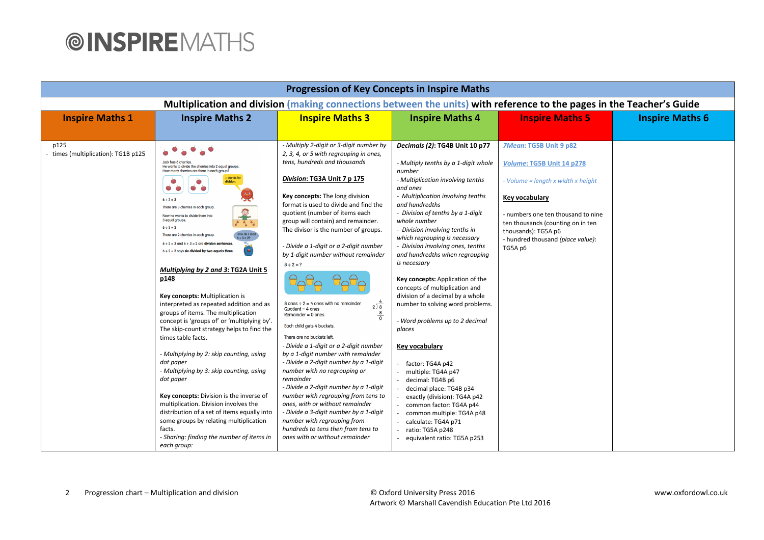| <b>Progression of Key Concepts in Inspire Maths</b>                                                                   |                                                                                                                                                                                                                                                                                                                                                                                                                                                                                                                                                                                                                                                                                                                                                                                                                                                                                                                                                                                                                                                                                                                            |                                                                                                                                                                                                                                                                                                                                                                                                                                                                                                                                                                                                                                                                                                                                                                                                                                                                                                                                                                                                                                                                                          |                                                                                                                                                                                                                                                                                                                                                                                                                                                                                                                                                                                                                                                                                                                                                                                                                                                                                 |                                                                                                                                                                                                                                                               |                        |
|-----------------------------------------------------------------------------------------------------------------------|----------------------------------------------------------------------------------------------------------------------------------------------------------------------------------------------------------------------------------------------------------------------------------------------------------------------------------------------------------------------------------------------------------------------------------------------------------------------------------------------------------------------------------------------------------------------------------------------------------------------------------------------------------------------------------------------------------------------------------------------------------------------------------------------------------------------------------------------------------------------------------------------------------------------------------------------------------------------------------------------------------------------------------------------------------------------------------------------------------------------------|------------------------------------------------------------------------------------------------------------------------------------------------------------------------------------------------------------------------------------------------------------------------------------------------------------------------------------------------------------------------------------------------------------------------------------------------------------------------------------------------------------------------------------------------------------------------------------------------------------------------------------------------------------------------------------------------------------------------------------------------------------------------------------------------------------------------------------------------------------------------------------------------------------------------------------------------------------------------------------------------------------------------------------------------------------------------------------------|---------------------------------------------------------------------------------------------------------------------------------------------------------------------------------------------------------------------------------------------------------------------------------------------------------------------------------------------------------------------------------------------------------------------------------------------------------------------------------------------------------------------------------------------------------------------------------------------------------------------------------------------------------------------------------------------------------------------------------------------------------------------------------------------------------------------------------------------------------------------------------|---------------------------------------------------------------------------------------------------------------------------------------------------------------------------------------------------------------------------------------------------------------|------------------------|
| Multiplication and division (making connections between the units) with reference to the pages in the Teacher's Guide |                                                                                                                                                                                                                                                                                                                                                                                                                                                                                                                                                                                                                                                                                                                                                                                                                                                                                                                                                                                                                                                                                                                            |                                                                                                                                                                                                                                                                                                                                                                                                                                                                                                                                                                                                                                                                                                                                                                                                                                                                                                                                                                                                                                                                                          |                                                                                                                                                                                                                                                                                                                                                                                                                                                                                                                                                                                                                                                                                                                                                                                                                                                                                 |                                                                                                                                                                                                                                                               |                        |
| <b>Inspire Maths 1</b>                                                                                                | <b>Inspire Maths 2</b>                                                                                                                                                                                                                                                                                                                                                                                                                                                                                                                                                                                                                                                                                                                                                                                                                                                                                                                                                                                                                                                                                                     | <b>Inspire Maths 3</b>                                                                                                                                                                                                                                                                                                                                                                                                                                                                                                                                                                                                                                                                                                                                                                                                                                                                                                                                                                                                                                                                   | <b>Inspire Maths 4</b>                                                                                                                                                                                                                                                                                                                                                                                                                                                                                                                                                                                                                                                                                                                                                                                                                                                          | <b>Inspire Maths 5</b>                                                                                                                                                                                                                                        | <b>Inspire Maths 6</b> |
| p125<br>- times (multiplication): TG1B p125                                                                           | Jack has 6 cherries<br>He wants to divide the cherries into 2 equal groups.<br>How many cherries are there in each group?<br>$6 \div 2 = 3$<br>There are 3 cherries in each group.<br>Now he wants to divide them into<br>3 equal groups<br>$6 \div 3 = 2$<br>How do I rea<br>There are 2 cherries in each group.<br>$\frac{1}{2}$ = 3 = 22<br>$6 \div 2 = 3$ and $6 \div 3 = 2$ are division sentence<br>$6 \div 2 = 3$ says six divided by two equals three.<br>Multiplying by 2 and 3: TG2A Unit 5<br>p148<br>Key concepts: Multiplication is<br>interpreted as repeated addition and as<br>groups of items. The multiplication<br>concept is 'groups of' or 'multiplying by'.<br>The skip-count strategy helps to find the<br>times table facts.<br>- Multiplying by 2: skip counting, using<br>dot paper<br>- Multiplying by 3: skip counting, using<br>dot paper<br>Key concepts: Division is the inverse of<br>multiplication. Division involves the<br>distribution of a set of items equally into<br>some groups by relating multiplication<br>facts.<br>- Sharing: finding the number of items in<br>each group: | - Multiply 2-digit or 3-digit number by<br>2, 3, 4, or 5 with regrouping in ones,<br>tens, hundreds and thousands<br>Division: TG3A Unit 7 p 175<br>Key concepts: The long division<br>format is used to divide and find the<br>quotient (number of items each<br>group will contain) and remainder.<br>The divisor is the number of groups.<br>- Divide a 1-digit or a 2-digit number<br>by 1-digit number without remainder<br>$8 \div 2 = ?$<br>8 ones $\div$ 2 = 4 ones with no remainder<br>$2\overline{8}$<br>$Quotient = 4 ones$<br>$\frac{8}{0}$<br>Remainder $= 0$ ones<br>Each child gets 4 buckets.<br>There are no buckets left.<br>- Divide a 1-digit or a 2-digit number<br>by a 1-digit number with remainder<br>- Divide a 2-digit number by a 1-digit<br>number with no regrouping or<br>remainder<br>- Divide a 2-digit number by a 1-digit<br>number with regrouping from tens to<br>ones, with or without remainder<br>- Divide a 3-digit number by a 1-digit<br>number with regrouping from<br>hundreds to tens then from tens to<br>ones with or without remainder | Decimals (2): TG4B Unit 10 p77<br>- Multiply tenths by a 1-digit whole<br>number<br>- Multiplication involving tenths<br>and ones<br>- Multiplication involving tenths<br>and hundredths<br>- Division of tenths by a 1-digit<br>whole number<br>- Division involving tenths in<br>which regrouping is necessary<br>- Division involving ones, tenths<br>and hundredths when regrouping<br>is necessary<br>Key concepts: Application of the<br>concepts of multiplication and<br>division of a decimal by a whole<br>number to solving word problems.<br>- Word problems up to 2 decimal<br>places<br>Key vocabulary<br>factor: TG4A p42<br>multiple: TG4A p47<br>decimal: TG4B p6<br>decimal place: TG4B p34<br>exactly (division): TG4A p42<br>common factor: TG4A p44<br>common multiple: TG4A p48<br>calculate: TG4A p71<br>ratio: TG5A p248<br>equivalent ratio: TG5A p253 | 7Mean: TG5B Unit 9 p82<br>Volume: TG5B Unit 14 p278<br>- Volume = length x width x height<br>Key vocabulary<br>- numbers one ten thousand to nine<br>ten thousands (counting on in ten<br>thousands): TG5A p6<br>- hundred thousand (place value):<br>TG5A p6 |                        |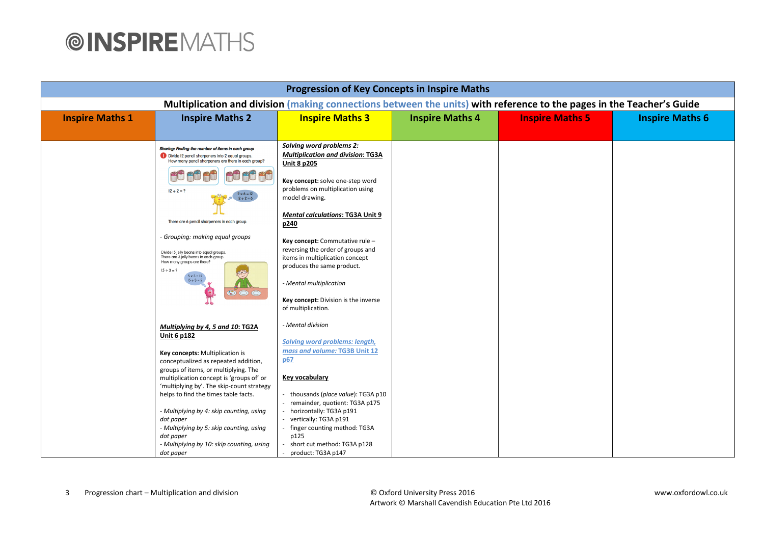| <b>Progression of Key Concepts in Inspire Maths</b>                                                                   |                                                                                                                                                                                                                |                                                                                                                                                                                                                                |                        |                        |                        |  |
|-----------------------------------------------------------------------------------------------------------------------|----------------------------------------------------------------------------------------------------------------------------------------------------------------------------------------------------------------|--------------------------------------------------------------------------------------------------------------------------------------------------------------------------------------------------------------------------------|------------------------|------------------------|------------------------|--|
| Multiplication and division (making connections between the units) with reference to the pages in the Teacher's Guide |                                                                                                                                                                                                                |                                                                                                                                                                                                                                |                        |                        |                        |  |
| <b>Inspire Maths 1</b>                                                                                                | <b>Inspire Maths 2</b>                                                                                                                                                                                         | <b>Inspire Maths 3</b>                                                                                                                                                                                                         | <b>Inspire Maths 4</b> | <b>Inspire Maths 5</b> | <b>Inspire Maths 6</b> |  |
|                                                                                                                       |                                                                                                                                                                                                                |                                                                                                                                                                                                                                |                        |                        |                        |  |
|                                                                                                                       | Sharing: Finding the number of items in each group<br>Divide 12 pencil sharpeners into 2 equal groups.<br>How many pencil sharpeners are there in each group?                                                  | Solving word problems 2:<br><b>Multiplication and division: TG3A</b><br><b>Unit 8 p205</b>                                                                                                                                     |                        |                        |                        |  |
|                                                                                                                       | $12 \div 2 = ?$<br>$2 \times 6 = 12$                                                                                                                                                                           | Key concept: solve one-step word<br>problems on multiplication using<br>model drawing.                                                                                                                                         |                        |                        |                        |  |
|                                                                                                                       | There are 6 pencil sharpeners in each group.                                                                                                                                                                   | <b>Mental calculations: TG3A Unit 9</b><br>p240                                                                                                                                                                                |                        |                        |                        |  |
|                                                                                                                       | - Grouping: making equal groups<br>Divide 15 jelly beans into equal groups.<br>There are 3 jelly beans in each group.<br>How many groups are there?<br>$15 \div 3 = ?$<br>$5 \times 3 = 15$<br>$15 \div 3 = 5$ | Key concept: Commutative rule -<br>reversing the order of groups and<br>items in multiplication concept<br>produces the same product.<br>- Mental multiplication<br>Key concept: Division is the inverse<br>of multiplication. |                        |                        |                        |  |
|                                                                                                                       | Multiplying by 4, 5 and 10: TG2A<br><b>Unit 6 p182</b><br>Key concepts: Multiplication is<br>conceptualized as repeated addition,<br>groups of items, or multiplying. The                                      | - Mental division<br>Solving word problems: length,<br>mass and volume: TG3B Unit 12<br>p67                                                                                                                                    |                        |                        |                        |  |
|                                                                                                                       | multiplication concept is 'groups of' or<br>'multiplying by'. The skip-count strategy<br>helps to find the times table facts.                                                                                  | Key vocabulary<br>thousands (place value): TG3A p10<br>remainder, quotient: TG3A p175                                                                                                                                          |                        |                        |                        |  |
|                                                                                                                       | - Multiplying by 4: skip counting, using<br>dot paper<br>- Multiplying by 5: skip counting, using<br>dot paper<br>- Multiplying by 10: skip counting, using<br>dot paper                                       | - horizontally: TG3A p191<br>vertically: TG3A p191<br>finger counting method: TG3A<br>p125<br>short cut method: TG3A p128<br>product: TG3A p147                                                                                |                        |                        |                        |  |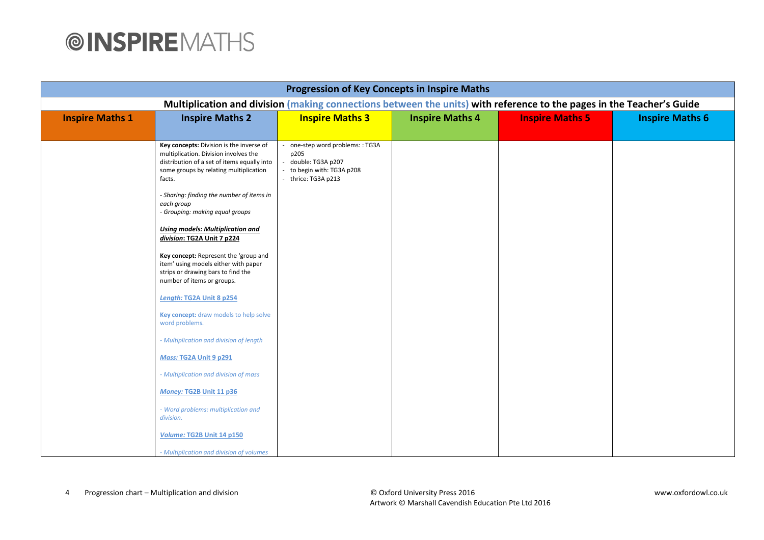| <b>Progression of Key Concepts in Inspire Maths</b>                                                                   |                                                                                                                                                                                                                                                                                                                                                                                                                                                                                                                  |                                                                                                             |                        |                        |                        |  |
|-----------------------------------------------------------------------------------------------------------------------|------------------------------------------------------------------------------------------------------------------------------------------------------------------------------------------------------------------------------------------------------------------------------------------------------------------------------------------------------------------------------------------------------------------------------------------------------------------------------------------------------------------|-------------------------------------------------------------------------------------------------------------|------------------------|------------------------|------------------------|--|
| Multiplication and division (making connections between the units) with reference to the pages in the Teacher's Guide |                                                                                                                                                                                                                                                                                                                                                                                                                                                                                                                  |                                                                                                             |                        |                        |                        |  |
| <b>Inspire Maths 1</b>                                                                                                | <b>Inspire Maths 2</b>                                                                                                                                                                                                                                                                                                                                                                                                                                                                                           | <b>Inspire Maths 3</b>                                                                                      | <b>Inspire Maths 4</b> | <b>Inspire Maths 5</b> | <b>Inspire Maths 6</b> |  |
|                                                                                                                       |                                                                                                                                                                                                                                                                                                                                                                                                                                                                                                                  |                                                                                                             |                        |                        |                        |  |
|                                                                                                                       | Key concepts: Division is the inverse of<br>multiplication. Division involves the<br>distribution of a set of items equally into<br>some groups by relating multiplication<br>facts.<br>- Sharing: finding the number of items in<br>each group<br>- Grouping: making equal groups<br><b>Using models: Multiplication and</b><br>division: TG2A Unit 7 p224<br>Key concept: Represent the 'group and<br>item' using models either with paper<br>strips or drawing bars to find the<br>number of items or groups. | one-step word problems:: TG3A<br>p205<br>double: TG3A p207<br>to begin with: TG3A p208<br>thrice: TG3A p213 |                        |                        |                        |  |
|                                                                                                                       | Length: TG2A Unit 8 p254                                                                                                                                                                                                                                                                                                                                                                                                                                                                                         |                                                                                                             |                        |                        |                        |  |
|                                                                                                                       | Key concept: draw models to help solve<br>word problems.                                                                                                                                                                                                                                                                                                                                                                                                                                                         |                                                                                                             |                        |                        |                        |  |
|                                                                                                                       | - Multiplication and division of length                                                                                                                                                                                                                                                                                                                                                                                                                                                                          |                                                                                                             |                        |                        |                        |  |
|                                                                                                                       | Mass: TG2A Unit 9 p291                                                                                                                                                                                                                                                                                                                                                                                                                                                                                           |                                                                                                             |                        |                        |                        |  |
|                                                                                                                       | - Multiplication and division of mass                                                                                                                                                                                                                                                                                                                                                                                                                                                                            |                                                                                                             |                        |                        |                        |  |
|                                                                                                                       | Money: TG2B Unit 11 p36                                                                                                                                                                                                                                                                                                                                                                                                                                                                                          |                                                                                                             |                        |                        |                        |  |
|                                                                                                                       | - Word problems: multiplication and<br>division.                                                                                                                                                                                                                                                                                                                                                                                                                                                                 |                                                                                                             |                        |                        |                        |  |
|                                                                                                                       | Volume: TG2B Unit 14 p150                                                                                                                                                                                                                                                                                                                                                                                                                                                                                        |                                                                                                             |                        |                        |                        |  |
|                                                                                                                       | - Multiplication and division of volumes                                                                                                                                                                                                                                                                                                                                                                                                                                                                         |                                                                                                             |                        |                        |                        |  |